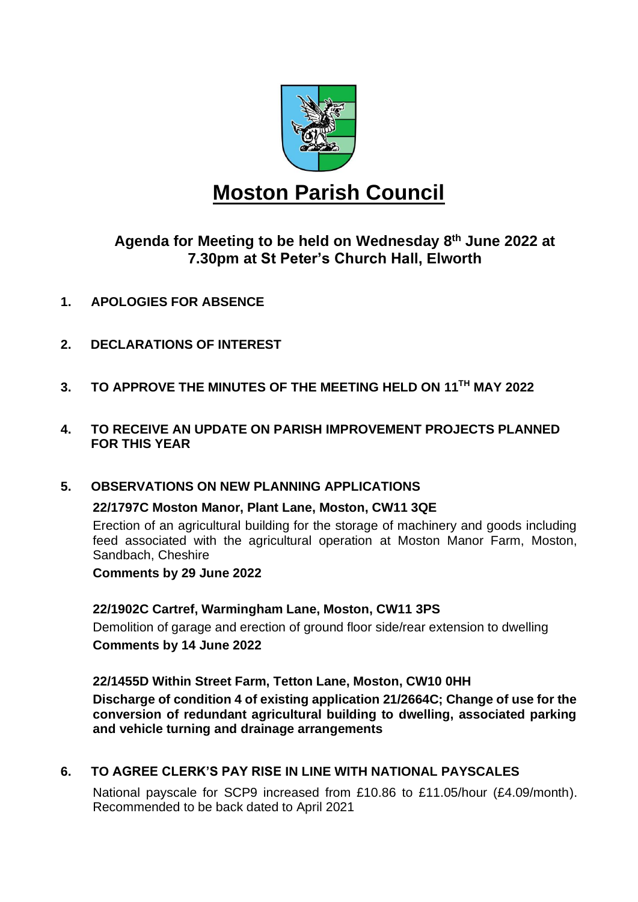

# **Moston Parish Council**

**Agenda for Meeting to be held on Wednesday 8 th June 2022 at 7.30pm at St Peter's Church Hall, Elworth**

- **1. APOLOGIES FOR ABSENCE**
- **2. DECLARATIONS OF INTEREST**
- **3. TO APPROVE THE MINUTES OF THE MEETING HELD ON 11TH MAY 2022**
- **4. TO RECEIVE AN UPDATE ON PARISH IMPROVEMENT PROJECTS PLANNED FOR THIS YEAR**

#### **5. OBSERVATIONS ON NEW PLANNING APPLICATIONS**

#### **22/1797C Moston Manor, Plant Lane, Moston, CW11 3QE**

Erection of an agricultural building for the storage of machinery and goods including feed associated with the agricultural operation at Moston Manor Farm, Moston, Sandbach, Cheshire

**Comments by 29 June 2022**

## **22/1902C Cartref, Warmingham Lane, Moston, CW11 3PS**

Demolition of garage and erection of ground floor side/rear extension to dwelling **Comments by 14 June 2022**

**22/1455D Within Street Farm, Tetton Lane, Moston, CW10 0HH Discharge of condition 4 of existing application 21/2664C; Change of use for the conversion of redundant agricultural building to dwelling, associated parking and vehicle turning and drainage arrangements**

## **6. TO AGREE CLERK'S PAY RISE IN LINE WITH NATIONAL PAYSCALES**

National payscale for SCP9 increased from £10.86 to £11.05/hour (£4.09/month). Recommended to be back dated to April 2021